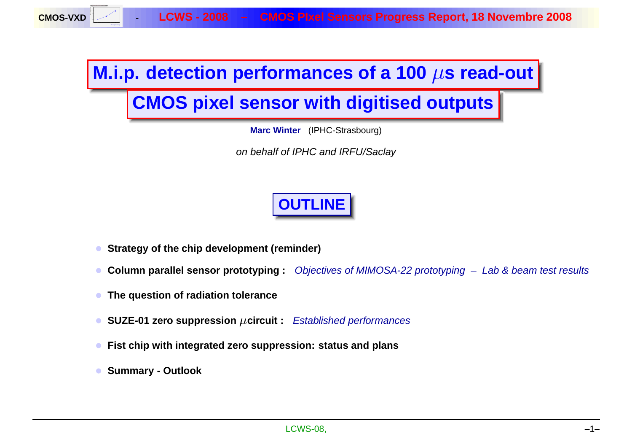LCWS - 2008 - CMOS Pixel Sensors Progress Report, 18 Novembre 2008

## **M.i.p. detection performances of <sup>a</sup> 100** µ**<sup>s</sup> read-out**

# **CMOS pixel sensor with digitised outputs**

**Marc Winter** (IPHC-Strasbourg)

on behalf of IPHC and IRFU/Saclay

# **OUTLINE**

- **Strategy of the chip development (reminder)**
- **Column parallel sensor prototyping :** Objectives of MIMOSA-22 prototyping Lab & beam test results
- **The question of radiation tolerance**
- **SUZE-01 zero suppression** µ**circuit :** Established performances
- **Fist chip with integrated zero suppression: status and plan s**
- **Summary - Outlook**

**CMOS-VXD**

**Resolution (microns) 1.5**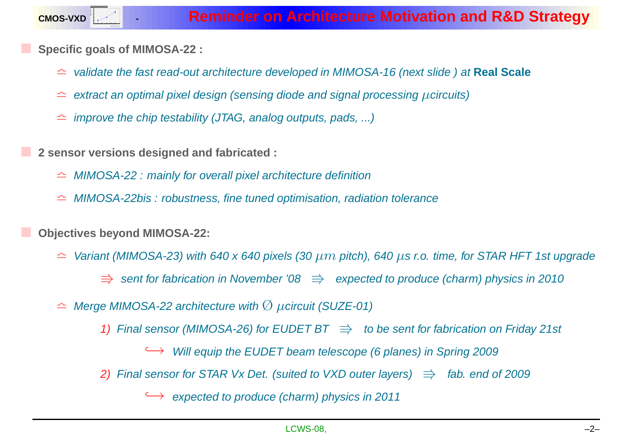**Specific goals of MIMOSA-22 :**

- <sup>l</sup> validate the fast read-out architecture developed in MIMOSA-16 (next slide ) at **Real Scale**
- $\hat{=}$  extract an optimal pixel design (sensing diode and signal processing  $\mu$ circuits)
- $\hat{=}$  improve the chip testability (JTAG, analog outputs, pads, ...)
- **<sup>2</sup> sensor versions designed and fabricated :**
	- $\cong$  MIMOSA-22 : mainly for overall pixel architecture definition
	- $\hat{\theta}$  MIMOSA-22bis : robustness, fine tuned optimisation, radiation tolerance

**Objectives beyond MIMOSA-22:**

- $\hat{z}$  Variant (MIMOSA-23) with 640 x 640 pixels (30  $\mu m$  pitch), 640  $\mu$ s r.o. time, for STAR HFT 1st upgrade
	- $\Rightarrow$  sent for fabrication in November '08  $\Rightarrow$  expected to produce (charm) physics in 2010
- $\hat{P}$  Merge MIMOSA-22 architecture with  $\hat{\textcirc}$   $\mu$ circuit (SUZE-01)
	- 1) Final sensor (MIMOSA-26) for EUDET BT  $\;\Rightarrow\;$  to be sent for fabrication on Friday 21st
		- $\leftrightarrow$  Will equip the EUDET beam telescope (6 planes) in Spring 2009
	- 2) Final sensor for STAR Vx Det. (suited to VXD outer layers)  $\Rightarrow$  fab. end of 2009

 $\rightarrow$  expected to produce (charm) physics in 2011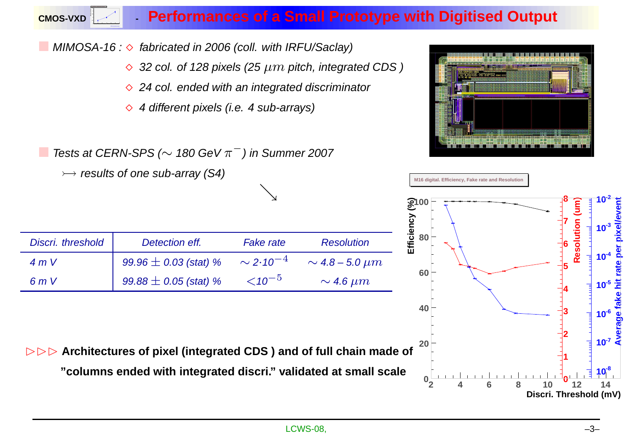### **- Performances of <sup>a</sup> Small Prototype with Digitised Output**

 $\blacksquare$  MIMOSA-16 :  $\diamond$  fabricated in 2006 (coll. with IRFU/Saclay)

**CMOS-VXD**

**15 20 25 30 35 40 45 1.5 2.5 3.5**

- $\Diamond$  32 col. of 128 pixels (25  $\mu m$  pitch, integrated CDS)
- $\Diamond$  24 col. ended with an integrated discriminator
- $\Diamond$  4 different pixels (i.e. 4 sub-arrays)

 $\blacksquare$  Tests at CERN-SPS ( $\sim$  180 GeV  $\pi^-$ ) in Summer 2007



 $\rightarrow$  results of one sub-array (S4) **M16 digital. Efficiency, Fake rate and Resolution** & Efficiency (%)<br>Efficiency (%) **8 -2 10 Efficiency (%) Resolution (um) Average fake hit rate per pixel/event Resolution (um)** pixelle **7**  $10^{-3}$ **80** Discri. threshold Detection eff. Fake rate Resolution **6**  $-4$ **-4 10** 4 m V  $99.96 \pm 0.03$  (stat) % ∼ 2·10  $\sim$  4.8 – 5.0  $\mu m$ **5 60**  $-5$  $99.88 \pm 0.05$  (stat) %  $6mV$  $\sim$  4.6 µm  $10^{-5}$   $\frac{40}{10}$ <br> $\frac{60}{10}$ <br> $\frac{60}{10}$ <br> $\frac{60}{10}$  $<$  10 **-5 10 4 40 3**  $10^{-7}$   $\frac{10}{5}$ **2 20 DDD** Architectures of pixel (integrated CDS) and of full chain made of **1 "columns ended with integrated discri." validated at small scale**  $10^{8}$ **0 0 2 4 6 8 10 12 14 Discri. Threshold (mV)**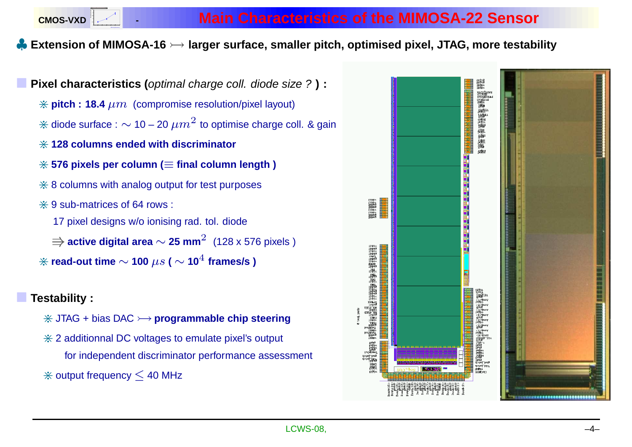**CMOS-VXD 15 20 25 30 35 40 45 1.5 2.5**

## $\clubsuit$  Extension of MIMOSA-16  $\rightarrowtail$  larger surface, smaller pitch, optimised pixel, JTAG, more testability

 **Pixel characteristics (**optimal charge coll. diode size ? **) :**  $*$  **pitch** : **18.4**  $\mu$ m (compromise resolution/pixel layout)  $*$  diode surface :  $\sim$  10 – 20  $\mu m^2$  to optimise charge coll. & gain <sup>&</sup>gt; **<sup>128</sup> columns ended with discriminator** <sup>&</sup>gt; **<sup>576</sup> pixels per column (** <sup>≡</sup> **final column length )**  $*$  8 columns with analog output for test purposes  $\divideontimes$  9 sub-matrices of 64 rows : 17 pixel designs w/o ionising rad. tol. diode V**active digital area** <sup>∼</sup> **25 mm** <sup>2</sup> (128 <sup>x</sup> <sup>576</sup> pixels )  $\hat{\ast}$  read-out time  $\sim$  100  $\mu s$  (  $\sim$  10<sup> $4$ </sup> frames/s )

#### **Testability :**

- <sup>&</sup>gt; JTAG <sup>+</sup> bias DAC **programmable chip steering**
- $*$  2 additionnal DC voltages to emulate pixel's output for independent discriminator performance assessment
- $*$  output frequency  $\leq$  40 MHz

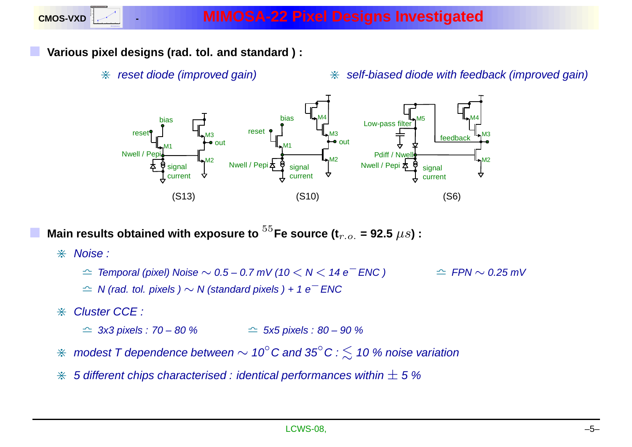**Various pixel designs (rad. tol. and standard ) :**

 $*$  reset diode (improved gain)

 $*$  self-biased diode with feedback (improved gain)



**Main** results obtained with exposure to  $^{55}$ Fe source (t<sub>r.o.</sub> = 92.5  $\mu s$ ) :

- $%$  Noise :
	- $\hat{z}$  Temporal (pixel) Noise  $\sim 0.5$  0.7 mV (10  $<$  N  $<$  14 e<sup> $+$ </sup> ENC )  $\qquad \cong$  FPN  $\sim$  0.25 mV
	- $\hat{z}$  N (rad. tol. pixels )  $\sim$  N (standard pixels ) + 1 e<sup> $-$ </sup> ENC
- $\div$  Cluster CCE :
	- $\hat{=}$  3x3 pixels : 70 80 %  $\hat{z}$  5x5 pixels : 80 – 90 %
- $\hat{}\;\;\;$  modest T dependence between  $\sim 10^\circ$ C and 35 $^\circ$ C :  $\lesssim\,$  10 % noise variation
- $\divideontimes$  5 different chips characterised : identical performances within  $\pm$  5 %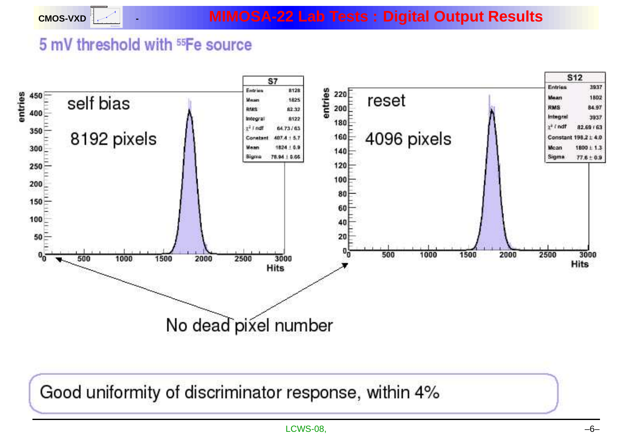# 5 mV threshold with <sup>55</sup>Fe source

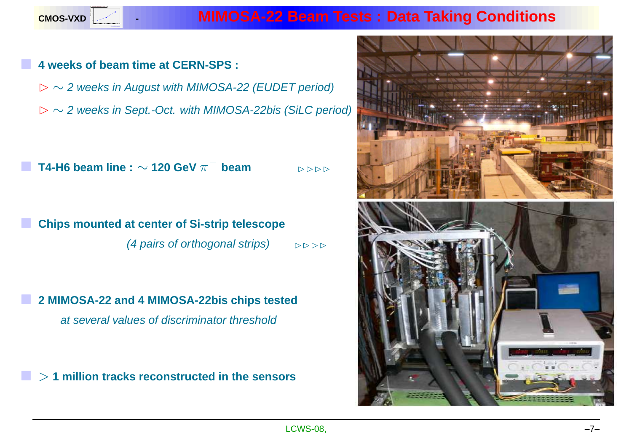

### **- MIMOSA-22 Beam Tests : Data Taking Conditions**

#### **4 weeks of beam time at CERN-SPS :**

B <sup>∼</sup> <sup>2</sup> weeks in August with MIMOSA-22 (EUDET period) B <sup>∼</sup> <sup>2</sup> weeks in Sept.-Oct. with MIMOSA-22bis (SiLC period)

 $\blacksquare$  T4-H6 beam line :  $\sim$  120 GeV  $\pi^-$  beam  $\triangleright$   $\triangleright$   $\triangleright$ 

 **Chips mounted at center of Si-strip telescope** (4 pairs of orthogonal strips)  $\mathbb{R} \Rightarrow \mathbb{R}$ 

 **<sup>2</sup> MIMOSA-22 and <sup>4</sup> MIMOSA-22bis chips tested** at several values of discriminator threshold

r. > **<sup>1</sup> million tracks reconstructed in the sensors**

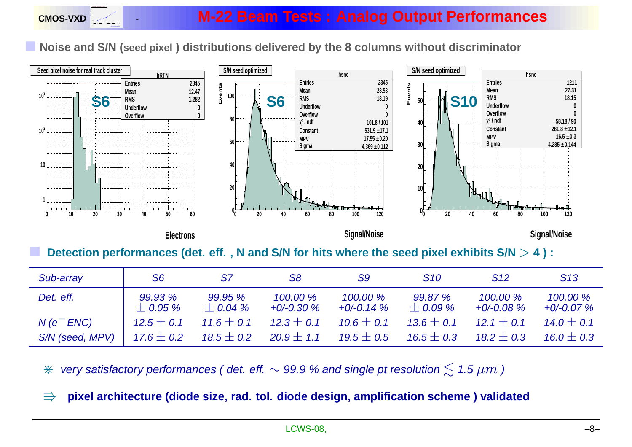Noise and S/N (seed pixel) distributions delivered by the 8 columns without discriminator



| Sub-array       | S <sub>6</sub>          | S7                      | S8                      | S9                      | <b>S10</b>              | S <sub>12</sub>         | S13                     |
|-----------------|-------------------------|-------------------------|-------------------------|-------------------------|-------------------------|-------------------------|-------------------------|
| Det. eff.       | 99.93 %<br>$\pm$ 0.05 % | 99.95 %<br>$\pm$ 0.04 % | 100.00 %<br>$+0/-0.30%$ | 100.00 %<br>$+0/-0.14%$ | 99.87 %<br>$\pm$ 0.09 % | 100.00 %<br>$+0/-0.08%$ | 100.00 %<br>$+0/-0.07%$ |
| $N(e^{-}ENC)$   | $12.5 \pm 0.1$          | $11.6 \pm 0.1$          | $12.3 \pm 0.1$          | $10.6 \pm 0.1$          | $13.6 \pm 0.1$          | $12.1 + 0.1$            | $14.0 \pm 0.1$          |
| S/N (seed, MPV) | 17.6 $\pm$ 0.2          | 18.5 $\pm$ 0.2          | $20.9 \pm 1.1$          | 19.5 $\pm$ 0.5          | 16.5 $\pm$ 0.3          | $18.2 \pm 0.3$          | $16.0 \pm 0.3$          |

 $\divideontimes$  very satisfactory performances ( det. eff.  $\sim$  99.9 % and single pt resolution  $\lesssim$  1.5  $\mu m$  )

 $\Rightarrow$  pixel architecture (diode size, rad. tol. diode design, amplification scheme ) validated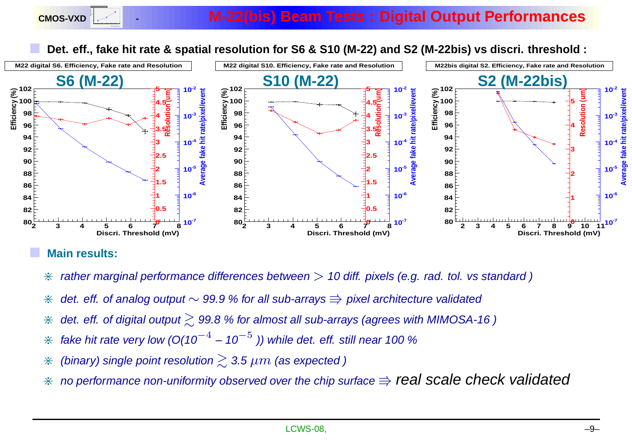Det. eff., fake hit rate & spatial resolution for S6 & S10 (M-22) and S2 (M-22bis) vs discri. threshold :



#### **Main results:**

- $*$  rather marginal performance differences between  $> 10$  diff. pixels (e.g. rad. tol. vs standard )
- \* det. eff. of analog output  $\sim$  99.9 % for all sub-arrays  $\Rrightarrow$  pixel architecture validated
- $\divideontimes$  det. eff. of digital output  $\gtrsim$  99.8 % for almost all sub-arrays (agrees with MIMOSA-16 )
- $*$  fake hit rate very low (O(10<sup>-4</sup> 10  $\rm{p}^{-5}$  )) while det. eff. still near 100 %
- $\divideontimes$  (binary) single point resolution  $\gtrsim$  3.5  $\mu m$  (as expected )
- $*$  no performance non-uniformity observed over the chip surface  $\Rightarrow$  real scale check validated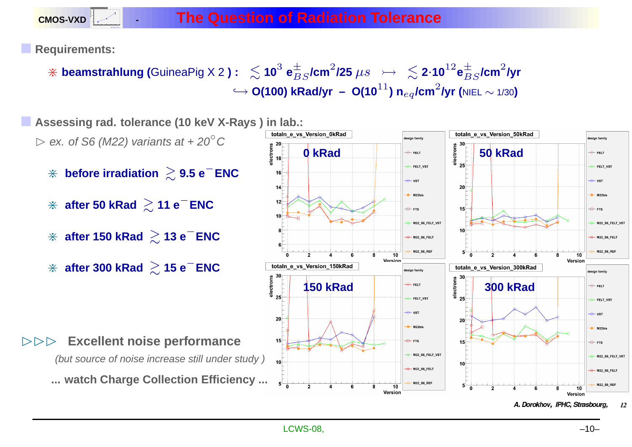**CMOS-VXD Resolution (microns) 1.5**

**Requirements:**

 $\frac{1}{2}$  **beamstrahlung (**GuineaPig X 2 )  $:~\lesssim$  10 $^3$  e $^{\pm}_{BS}$ /cm $^2$ /25  $\mu s$   $\;\rightarrow\;\;\lesssim$  2 $\cdot$ 10 $^{12}$ e $^{\pm}_{BS}$ /cm $^2$ /yr  $\hookrightarrow$  O(100) kRad/yr – O(10 $^{11}$ ) n $_{eq}$ /cm $^{2}$ /yr (<code>NIEL</code>  $\sim$  1/30)

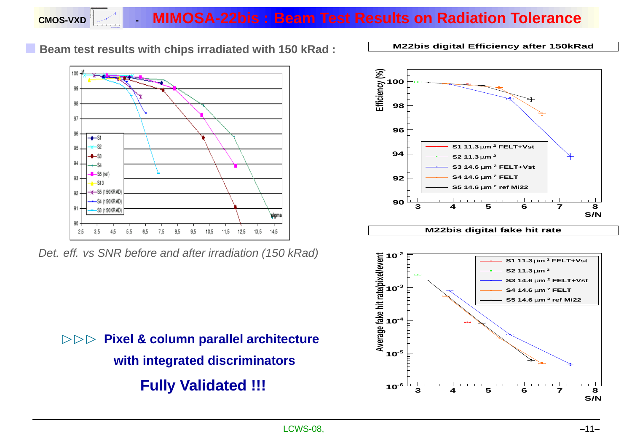#### **CMOS-VXD 15 20 25 30 35 40 45 1.5 2.5 - MIMOSA-22bis : Beam Test Results on Radiation Tolerance**

**Beam test results with chips irradiated with <sup>150</sup> kRad :**



Det. eff. vs SNR before and after irradiation (150 kRad)



**M22bis digital Efficiency after 150kRad**





BBB **Pixel & column parallel architecture with integrated discriminators Fully Validated !!!**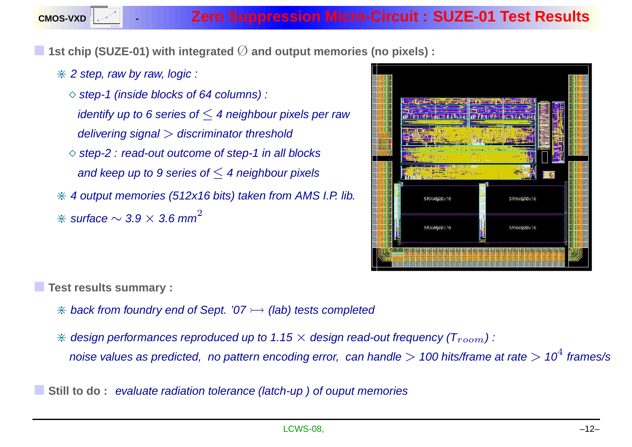

**1st chip (SUZE-01) with integrated** Ø **and output memories (no pixels) :**

 $*$  2 step, raw by raw, logic :

 $\Diamond$  step-1 (inside blocks of 64 columns) : identify up to 6 series of  $\leq$  4 neighbour pixels per raw delivering signal  $>$  discriminator threshold  $\Diamond$  step-2 : read-out outcome of step-1 in all blocks and keep up to 9 series of  $\leq$  4 neighbour pixels  $*$  4 output memories (512x16 bits) taken from AMS I.P. lib.  $\divideontimes$  surface  $\sim$  3.9  $\times$  3.6 mm $^2$ 



**Test results summary :**

- $*$  back from foundry end of Sept. '07  $\rightarrow$  (lab) tests completed
- $*$  design performances reproduced up to 1.15  $\times$  design read-out frequency ( $T_{room}$ ):
	- noise values as predicted, no pattern encoding error, can handle  $>$  100 hits/frame at rate  $>$  10 $^4$  frames/s
- **Still to do**: evaluate radiation tolerance (latch-up) of ouput memories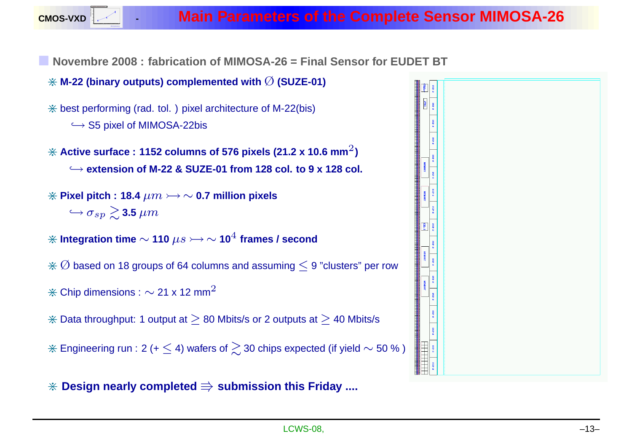

Novembre 2008 : fabrication of MIMOSA-26 = Final Sensor for EUDET BT

- <sup>&</sup>gt; **M-22 (binary outputs) complemented with** Ø **(SUZE-01)**
- $*$  best performing (rad. tol. ) pixel architecture of M-22(bis)
	- $\hookrightarrow$  S5 pixel of MIMOSA-22bis
- $\divideontimes$  Active surface : 1152 columns of 576 pixels (21.2 x 10.6 mm $^2$ )  $\hookrightarrow$  extension of M-22 & SUZE-01 from 128 col. to 9 x 128 col.
- $\hat{\textbf{r}}$  **Pixel pitch : 18.4**  $\mu m \rightarrow \sim$  0.7 million pixels  $\hookrightarrow$   $\sigma_{sp} \gtrsim$  3.5  $\mu m$
- $\hat{*}$  Integration time  $\sim$  110  $\mu s \rightarrow \sim$  10 $^4$  frames / second
- $\hat{\mathcal{R}}\lhd\mathsf{based}$  on 18 groups of 64 columns and assuming  $\leq$  9 "clusters" per row
- $\divideontimes$  Chip dimensions :  $\sim$  21 x 12 mm<sup>2</sup>
- $*$  Data throughput: 1 output at  $≥$  80 Mbits/s or 2 outputs at  $≥$  40 Mbits/s
- $*$  Engineering run : 2 (+  $\leq$  4) wafers of  $\gtrsim$  30 chips expected (if yield  $\sim$  50 % )
- <sup>&</sup>gt; **Design nearly completed** <sup>V</sup> **submission this Friday ....**

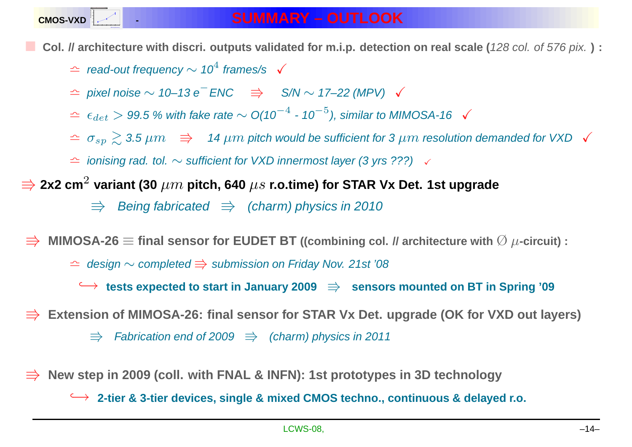

Col. // architecture with discri. outputs validated for m.i.p. detection on real scale (128 col. of 576 pix.):

- $\hat{z}$  read-out frequency  $\sim 10^4$  frames/s  $\checkmark$
- $\hat{z}$  pixel noise  $\sim 10-13$  e<sup>−</sup>ENC  $\Rightarrow$  S/N  $\sim$  17–22 (MPV)  $\checkmark$
- $\hat{z}$  ∈  $\epsilon_{det}$  > 99.5 % with fake rate  $\sim$  O(10<sup>-4</sup> 10<sup>-5</sup>), similar to MIMOSA-16  $\checkmark$
- $\Delta \Delta \sigma_{sp} \gtrsim 3.5 \, \mu m \Rightarrow 14 \, \mu m$  pitch would be sufficient for 3  $\mu m$  resolution demanded for VXD  $\checkmark$
- $\hat{z}$  ionising rad. tol.  $\sim$  sufficient for VXD innermost layer (3 yrs ???)  $\checkmark$
- $\Rightarrow$  2x2 cm<sup>2</sup> variant (30  $\mu m$  pitch, 640  $\mu s$  r.o.time) for STAR Vx Det. 1st upgrade
	- $\Rightarrow$  Being fabricated  $\Rightarrow$  (charm) physics in 2010

 $\Rightarrow$  MIMOSA-26  $\equiv$  final sensor for EUDET BT ((combining col. *II* architecture with  $\emptyset$   $\mu$ -circuit) :

- $\text{L}$  design  $\sim$  completed  $\Rightarrow$  submission on Friday Nov. 21st '08
	- $\leftrightarrow$  tests expected to start in January 2009  $\Rightarrow$  sensors mounted on BT in Spring '09
- Extension of MIMOSA-26: final sensor for STAR Vx Det. upgrade (OK for VXD out layers)
	- $\Rightarrow$  Fabrication end of 2009  $\Rightarrow$  (charm) physics in 2011
- New step in 2009 (coll. with FNAL & INFN): 1st prototypes in 3D technology
	- $\hookrightarrow$  2-tier & 3-tier devices, single & mixed CMOS techno., continuous & delayed r.o.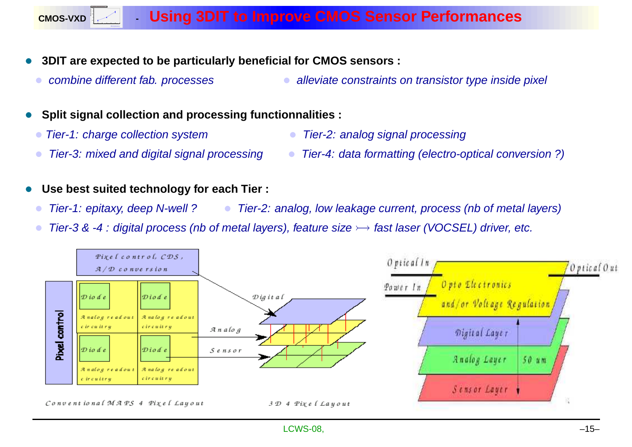### **- Using 3DIT to Improve CMOS Sensor Performances**

- **3DIT are expected to be particularly beneficial for CMOS sensors :**
	- combine different fab. processes

**15 20 25 30 35 40 45 1.5**

**CMOS-VXD**

- alleviate constraints on transistor type inside pixel
- **Split signal collection and processing functionnalities :**
	- Tier-1: charge collection system
	- Tier-3: mixed and digital signal processing
- Tier-2: analog signal processing
- Tier-4: data formatting (electro-optical conversion ?)
- **Use best suited technology for each Tier :**
	- Tier-1: epitaxy, deep N-well ? • Tier-2: analog, low leakage current, process (nb of metal layers)
	- Tier-3 & -4: digital process (nb of metal layers), feature size > fast laser (VOCSEL) driver, etc.